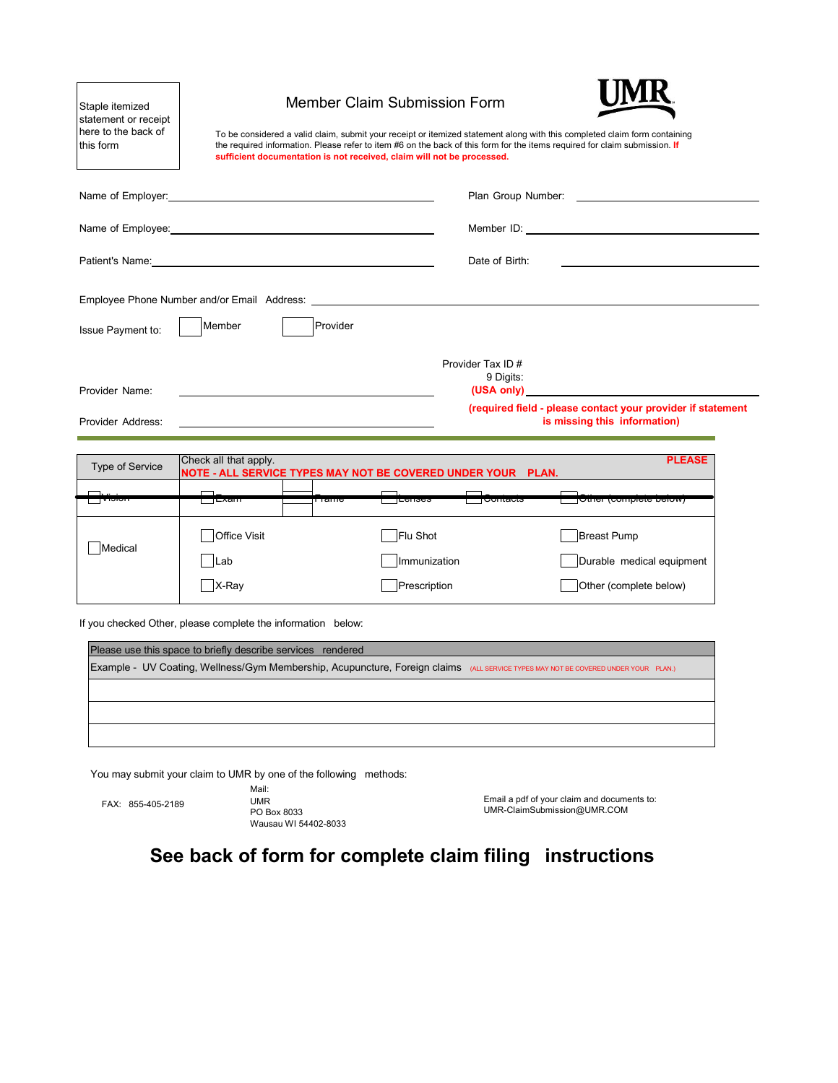| Staple itemized<br>statement or receipt<br>here to the back of<br>this form |                                                                                       |          | <b>Member Claim Submission Form</b><br>sufficient documentation is not received, claim will not be processed. | To be considered a valid claim, submit your receipt or itemized statement along with this completed claim form containing<br>the required information. Please refer to item #6 on the back of this form for the items required for claim submission. If |                                                                                                                                    |  |
|-----------------------------------------------------------------------------|---------------------------------------------------------------------------------------|----------|---------------------------------------------------------------------------------------------------------------|---------------------------------------------------------------------------------------------------------------------------------------------------------------------------------------------------------------------------------------------------------|------------------------------------------------------------------------------------------------------------------------------------|--|
| Name of Employer:                                                           |                                                                                       |          |                                                                                                               |                                                                                                                                                                                                                                                         | Plan Group Number: New York States and States and States and States and States and States and States and States                    |  |
|                                                                             |                                                                                       |          |                                                                                                               |                                                                                                                                                                                                                                                         |                                                                                                                                    |  |
|                                                                             |                                                                                       |          |                                                                                                               | Date of Birth:                                                                                                                                                                                                                                          |                                                                                                                                    |  |
| Issue Payment to:                                                           | Member                                                                                | Provider |                                                                                                               |                                                                                                                                                                                                                                                         |                                                                                                                                    |  |
| Provider Name:<br>Provider Address:                                         |                                                                                       |          |                                                                                                               | Provider Tax ID #<br>9 Digits:<br>(USA only)                                                                                                                                                                                                            | (required field - please contact your provider if statement<br>is missing this information)                                        |  |
|                                                                             |                                                                                       |          |                                                                                                               |                                                                                                                                                                                                                                                         |                                                                                                                                    |  |
| <b>Type of Service</b>                                                      | Check all that apply.<br>NOTE - ALL SERVICE TYPES MAY NOT BE COVERED UNDER YOUR PLAN. |          |                                                                                                               |                                                                                                                                                                                                                                                         | <b>PLEASE</b>                                                                                                                      |  |
| ाणञ∪ग                                                                       | —⊺⊏∧am                                                                                | TTam     |                                                                                                               | ⊤∪∪πασιა                                                                                                                                                                                                                                                | <b>TOttici (compicte pelow)</b>                                                                                                    |  |
| Medical                                                                     | Office Visit<br>lLab<br>X-Ray                                                         |          | Flu Shot<br>Immunization<br>Prescription                                                                      |                                                                                                                                                                                                                                                         | <b>Breast Pump</b><br>Durable medical equipment<br>Other (complete below)                                                          |  |
|                                                                             | If you checked Other, please complete the information below:                          |          |                                                                                                               |                                                                                                                                                                                                                                                         |                                                                                                                                    |  |
|                                                                             | Please use this space to briefly describe services rendered                           |          |                                                                                                               |                                                                                                                                                                                                                                                         |                                                                                                                                    |  |
|                                                                             |                                                                                       |          |                                                                                                               |                                                                                                                                                                                                                                                         | Example - UV Coating, Wellness/Gym Membership, Acupuncture, Foreign claims (ALL SERVICE TYPES MAY NOT BE COVERED UNDER YOUR PLAN.) |  |

You may submit your claim to UMR by one of the following methods:

Mail: FAX: 855-405-2189 UMR PO Box 8033 Wausau WI 54402-8033

Email a pdf of your claim and documents to: [UMR-ClaimSubmission@UMR.COM](mailto:UMR-ClaimSubmission@UMR.COM)

**See back of form for complete claim filing instructions**